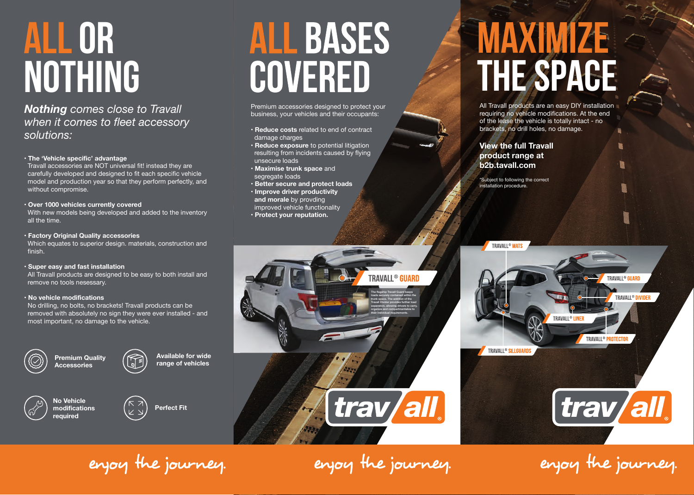# **ALL OR NOTHING**

*Nothing comes close to Travall when it comes to fleet accessory solutions:*

### • **The 'Vehicle specific' advantage**

 Travall accessories are NOT universal fit! instead they are carefully developed and designed to fit each specific vehicle model and production year so that they perform perfectly, and without compromise.

### • **Over 1000 vehicles currently covered**

 With new models being developed and added to the inventory all the time.

• **Factory Original Quality accessories** Which equates to superior design. materials, construction and finish.

### • **Super easy and fast installation**

 All Travall products are designed to be easy to both install and remove no tools nesessary.

### • **No vehicle modifications**

 No drilling, no bolts, no brackets! Travall products can be removed with absolutely no sign they were ever installed - and most important, no damage to the vehicle.



**Premium Quality Accessories**



**Available for wide range of vehicles**



**Perfect Fit**

# **ALL BASES** COVERED

Premium accessories designed to protect your business, your vehicles and their occupants:

- • **Reduce costs** related to end of contract damage charges
- • **Reduce exposure** to potential litigation resulting from incidents caused by flying unsecure loads
- **Maximise trunk space** and segregate loads
- **Better secure and protect loads** • **Improve driver productivity and morale** by provding
- improved vehicle functionality
- **Protect your reputation.**

### **MAXIMIZE THE SPACE**

All Travall products are an easy DIY installation requiring no vehicle modifications. At the end of the lease the vehicle is totally intact - no brackets, no drill holes, no damage.

**View the full Travall product range at b2b.tavall.com**

\*Subject to following the correct installation procedure.

TRAVALL<sup>®</sup> MATS

TRAVALL® SILLGUAR



enjoy the journey.

enjoy the journey.

 $[\,\mathrm{trav}/\mathrm{all}]\,$ 

**TRAVALL®** 

TRAVALL<sup>®</sup> PROTECTO

**TRAVALL® LINEI** 

TRAVALL® DIVIDER